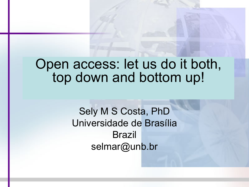# Open access: let us do it both, top down and bottom up!

Sely M S Costa, PhD Universidade de Brasília Brazil selmar@unb.br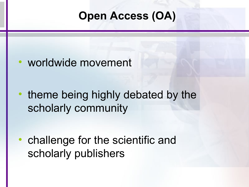# **Open Access (OA)**

## worldwide movement

theme being highly debated by the scholarly community

• challenge for the scientific and scholarly publishers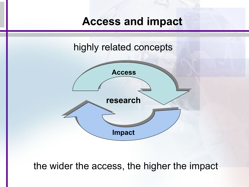## **Access and impact**



#### the wider the access, the higher the impact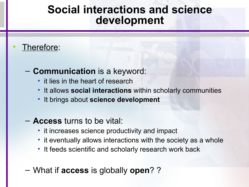## **Social interactions and science development**

#### Therefore:

#### – **Communication** is a keyword:

- it lies in the heart of research
- It allows **social interactions** within scholarly communities
- It brings about **science development**
- **Access** turns to be vital:
	- it increases science productivity and impact
	- it eventually allows interactions with the society as a whole
	- It feeds scientific and scholarly research work back
- What if **access** is globally **open**? ?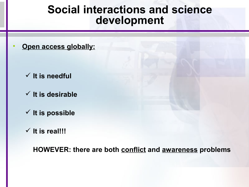#### **Social interactions and science development**

• **Open access globally:**

- $\checkmark$  It is needful
- **It is desirable**
- $\checkmark$  It is possible
- $\checkmark$  It is real!!!

**HOWEVER: there are both conflict and awareness problems**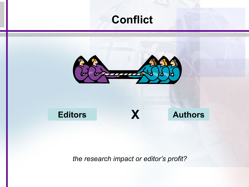## **Conflict**



**Editors X Authors**

*the research impact or editor's profit?*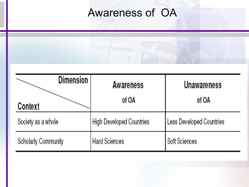# Awareness of OA



| <b>Dimension</b>    | Awareness                | <b>Unawareness</b>       |
|---------------------|--------------------------|--------------------------|
| Context             | of OA                    | of OA                    |
| Society as a whole  | High Developed Countries | Less Developed Countries |
| Scholarly Community | <b>Hard Sciences</b>     | Soft Sciences            |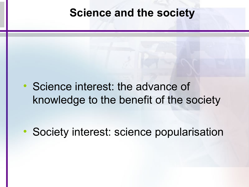#### **Science and the society**

• Science interest: the advance of knowledge to the benefit of the society

• Society interest: science popularisation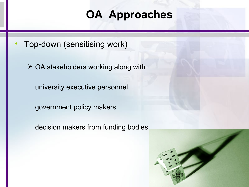## **OA Approaches**

• Top-down (sensitising work)

 $\triangleright$  OA stakeholders working along with

university executive personnel

government policy makers

decision makers from funding bodies

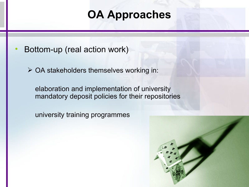# **OA Approaches**

- Bottom-up (real action work)
	- $\triangleright$  OA stakeholders themselves working in:

elaboration and implementation of university mandatory deposit policies for their repositories

university training programmes